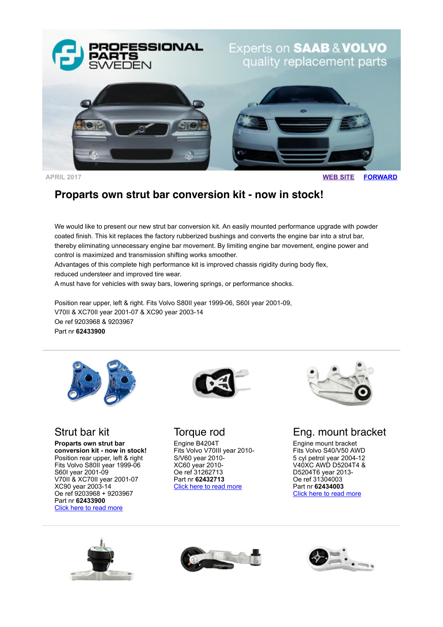

**APRIL 2017 [WEB SITE](http://www.proparts.se/) [FORWARD](http://app.rule.io/browser/campaign/c/n_1f5x/%25Link:Forward%25)**

# **Proparts own strut bar conversion kit - now in stock!**

We would like to present our new strut bar conversion kit. An easily mounted performance upgrade with powder coated finish. This kit replaces the factory rubberized bushings and converts the engine bar into a strut bar, thereby eliminating unnecessary engine bar movement. By limiting engine bar movement, engine power and control is maximized and transmission shifting works smoother.

Advantages of this complete high performance kit is improved chassis rigidity during body flex, reduced understeer and improved tire wear.

A must have for vehicles with sway bars, lowering springs, or performance shocks.

Position rear upper, left & right. Fits Volvo S80II year 1999-06, S60I year 2001-09, V70II & XC70II year 2001-07 & XC90 year 2003-14 Oe ref 9203968 & 9203967 Part nr **62433900**



#### Strut bar kit

**Proparts own strut bar conversion kit - now in stock!** Position rear upper, left & right Fits Volvo S80II year 1999-06 S60I year 2001-09 V70II & XC70II year 2001-07 XC90 year 2003-14 Oe ref 9203968 + 9203967 Part nr **62433900** [Click here to read more](http://www.proparts.se/dokument/bibliotek/File/pdfkataloger/1707_VOLVO.pdf)



#### Torque rod

Engine B4204T Fits Volvo V70III year 2010- S/V60 year 2010- XC60 year 2010- Oe ref 31262713 Part nr **62432713** [Click here to read more](http://www.proparts.se/dokument/bibliotek/File/pdfkataloger/1707_VOLVO.pdf)



Eng. mount bracket

Engine mount bracket Fits Volvo S40/V50 AWD 5 cyl petrol year 2004-12 V40XC AWD D5204T4 & D5204T6 year 2013- Oe ref 31304003 Part nr **62434003** [Click here to read more](http://www.proparts.se/dokument/bibliotek/File/pdfkataloger/1707_VOLVO.pdf)